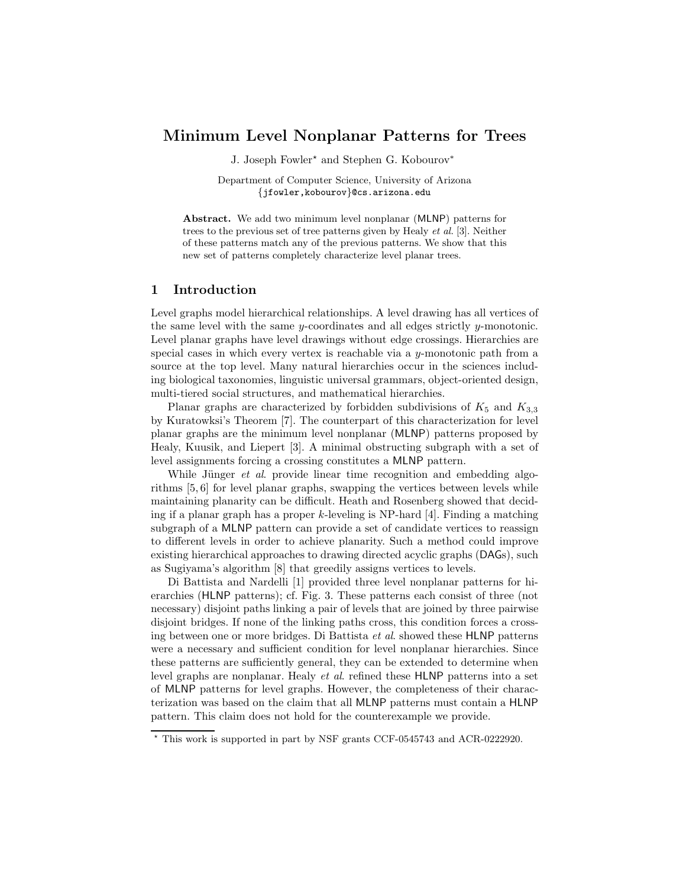# Minimum Level Nonplanar Patterns for Trees

J. Joseph Fowler<sup>★</sup> and Stephen G. Kobourov<sup>\*</sup>

Department of Computer Science, University of Arizona {jfowler,kobourov}@cs.arizona.edu

Abstract. We add two minimum level nonplanar (MLNP) patterns for trees to the previous set of tree patterns given by Healy et al. [3]. Neither of these patterns match any of the previous patterns. We show that this new set of patterns completely characterize level planar trees.

### 1 Introduction

Level graphs model hierarchical relationships. A level drawing has all vertices of the same level with the same y-coordinates and all edges strictly y-monotonic. Level planar graphs have level drawings without edge crossings. Hierarchies are special cases in which every vertex is reachable via a y-monotonic path from a source at the top level. Many natural hierarchies occur in the sciences including biological taxonomies, linguistic universal grammars, object-oriented design, multi-tiered social structures, and mathematical hierarchies.

Planar graphs are characterized by forbidden subdivisions of  $K_5$  and  $K_{3,3}$ by Kuratowksi's Theorem [7]. The counterpart of this characterization for level planar graphs are the minimum level nonplanar (MLNP) patterns proposed by Healy, Kuusik, and Liepert [3]. A minimal obstructing subgraph with a set of level assignments forcing a crossing constitutes a MLNP pattern.

While Jünger  $et \, al.$  provide linear time recognition and embedding algorithms [5, 6] for level planar graphs, swapping the vertices between levels while maintaining planarity can be difficult. Heath and Rosenberg showed that deciding if a planar graph has a proper  $k$ -leveling is NP-hard [4]. Finding a matching subgraph of a MLNP pattern can provide a set of candidate vertices to reassign to different levels in order to achieve planarity. Such a method could improve existing hierarchical approaches to drawing directed acyclic graphs (DAGs), such as Sugiyama's algorithm [8] that greedily assigns vertices to levels.

Di Battista and Nardelli [1] provided three level nonplanar patterns for hierarchies (HLNP patterns); cf. Fig. 3. These patterns each consist of three (not necessary) disjoint paths linking a pair of levels that are joined by three pairwise disjoint bridges. If none of the linking paths cross, this condition forces a crossing between one or more bridges. Di Battista et al. showed these HLNP patterns were a necessary and sufficient condition for level nonplanar hierarchies. Since these patterns are sufficiently general, they can be extended to determine when level graphs are nonplanar. Healy et al. refined these HLNP patterns into a set of MLNP patterns for level graphs. However, the completeness of their characterization was based on the claim that all MLNP patterns must contain a HLNP pattern. This claim does not hold for the counterexample we provide.

<sup>⋆</sup> This work is supported in part by NSF grants CCF-0545743 and ACR-0222920.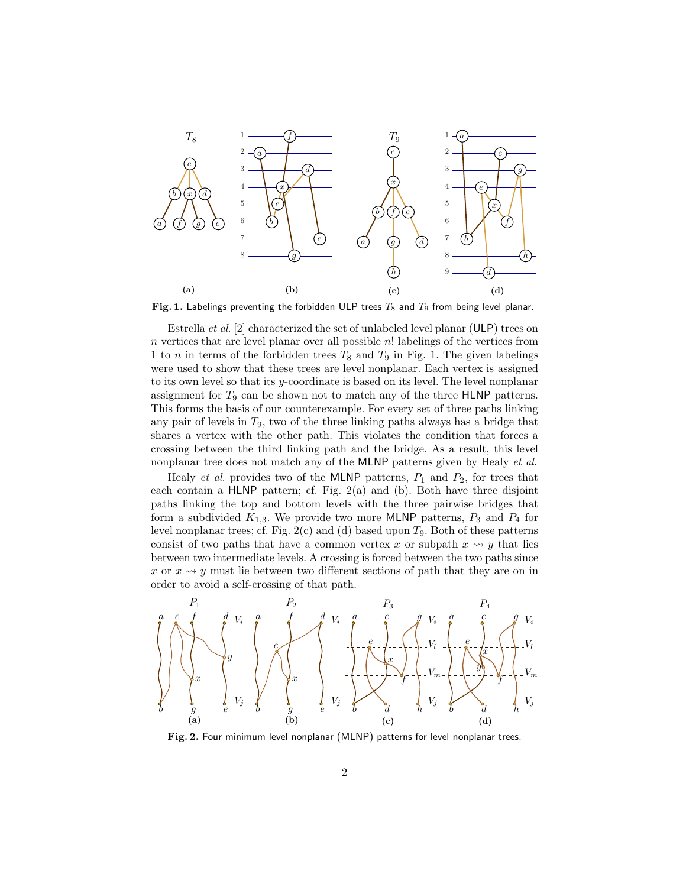

Fig. 1. Labelings preventing the forbidden ULP trees  $T_8$  and  $T_9$  from being level planar.

Estrella et al. [2] characterized the set of unlabeled level planar (ULP) trees on  $n$  vertices that are level planar over all possible  $n!$  labelings of the vertices from 1 to *n* in terms of the forbidden trees  $T_8$  and  $T_9$  in Fig. 1. The given labelings were used to show that these trees are level nonplanar. Each vertex is assigned to its own level so that its y-coordinate is based on its level. The level nonplanar assignment for  $T_9$  can be shown not to match any of the three HLNP patterns. This forms the basis of our counterexample. For every set of three paths linking any pair of levels in  $T_9$ , two of the three linking paths always has a bridge that shares a vertex with the other path. This violates the condition that forces a crossing between the third linking path and the bridge. As a result, this level nonplanar tree does not match any of the MLNP patterns given by Healy et al.

Healy *et al.* provides two of the MLNP patterns,  $P_1$  and  $P_2$ , for trees that each contain a HLNP pattern; cf. Fig. 2(a) and (b). Both have three disjoint paths linking the top and bottom levels with the three pairwise bridges that form a subdivided  $K_{1,3}$ . We provide two more MLNP patterns,  $P_3$  and  $P_4$  for level nonplanar trees; cf. Fig.  $2(c)$  and (d) based upon  $T_9$ . Both of these patterns consist of two paths that have a common vertex x or subpath  $x \rightarrow y$  that lies between two intermediate levels. A crossing is forced between the two paths since x or  $x \rightsquigarrow y$  must lie between two different sections of path that they are on in order to avoid a self-crossing of that path.



Fig. 2. Four minimum level nonplanar (MLNP) patterns for level nonplanar trees.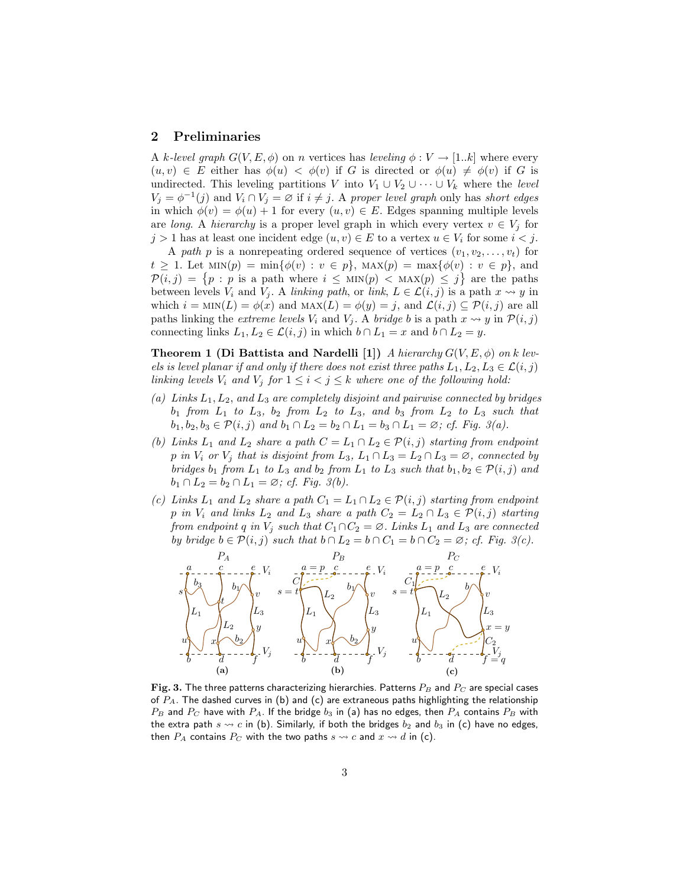### 2 Preliminaries

A k-level graph  $G(V, E, \phi)$  on n vertices has leveling  $\phi : V \to [1..k]$  where every  $(u, v) \in E$  either has  $\phi(u) < \phi(v)$  if G is directed or  $\phi(u) \neq \phi(v)$  if G is undirected. This leveling partitions V into  $V_1 \cup V_2 \cup \cdots \cup V_k$  where the level  $V_j = \phi^{-1}(j)$  and  $V_i \cap V_j = \emptyset$  if  $i \neq j$ . A proper level graph only has short edges in which  $\phi(v) = \phi(u) + 1$  for every  $(u, v) \in E$ . Edges spanning multiple levels are long. A hierarchy is a proper level graph in which every vertex  $v \in V_i$  for  $j > 1$  has at least one incident edge  $(u, v) \in E$  to a vertex  $u \in V_i$  for some  $i < j$ .

A path p is a nonrepeating ordered sequence of vertices  $(v_1, v_2, \ldots, v_t)$  for  $t \geq 1$ . Let  $\text{MIN}(p) = \min\{\phi(v) : v \in p\}$ ,  $\text{MAX}(p) = \max\{\phi(v) : v \in p\}$ , and  $\mathcal{P}(i,j) = \{p : p \text{ is a path where } i \leq \text{MIN}(p) < \text{MAX}(p) \leq j\}$  are the paths between levels  $V_i$  and  $V_j$ . A linking path, or link,  $L \in \mathcal{L}(i, j)$  is a path  $x \leadsto y$  in which  $i = \text{MIN}(L) = \phi(x)$  and  $\text{MAX}(L) = \phi(y) = j$ , and  $\mathcal{L}(i, j) \subseteq \mathcal{P}(i, j)$  are all paths linking the extreme levels  $V_i$  and  $V_j$ . A bridge b is a path  $x \leadsto y$  in  $\mathcal{P}(i, j)$ connecting links  $L_1, L_2 \in \mathcal{L}(i, j)$  in which  $b \cap L_1 = x$  and  $b \cap L_2 = y$ .

**Theorem 1 (Di Battista and Nardelli [1])** A hierarchy  $G(V, E, \phi)$  on k levels is level planar if and only if there does not exist three paths  $L_1, L_2, L_3 \in \mathcal{L}(i, j)$ linking levels  $V_i$  and  $V_j$  for  $1 \leq i < j \leq k$  where one of the following hold:

- (a) Links  $L_1, L_2,$  and  $L_3$  are completely disjoint and pairwise connected by bridges  $b_1$  from  $L_1$  to  $L_3$ ,  $b_2$  from  $L_2$  to  $L_3$ , and  $b_3$  from  $L_2$  to  $L_3$  such that  $b_1, b_2, b_3 \in \mathcal{P}(i, j)$  and  $b_1 \cap L_2 = b_2 \cap L_1 = b_3 \cap L_1 = \emptyset$ ; cf. Fig. 3(a).
- (b) Links  $L_1$  and  $L_2$  share a path  $C = L_1 \cap L_2 \in \mathcal{P}(i, j)$  starting from endpoint p in  $V_i$  or  $V_j$  that is disjoint from  $L_3$ ,  $L_1 \cap L_3 = L_2 \cap L_3 = \emptyset$ , connected by bridges  $b_1$  from  $L_1$  to  $L_3$  and  $b_2$  from  $L_1$  to  $L_3$  such that  $b_1, b_2 \in \mathcal{P}(i, j)$  and  $b_1 \cap L_2 = b_2 \cap L_1 = \emptyset$ ; cf. Fig. 3(b).
- (c) Links  $L_1$  and  $L_2$  share a path  $C_1 = L_1 \cap L_2 \in \mathcal{P}(i, j)$  starting from endpoint p in  $V_i$  and links  $L_2$  and  $L_3$  share a path  $C_2 = L_2 \cap L_3 \in \mathcal{P}(i,j)$  starting from endpoint q in  $V_j$  such that  $C_1 \cap C_2 = \emptyset$ . Links  $L_1$  and  $L_3$  are connected by bridge  $b \in \mathcal{P}(i, j)$  such that  $b \cap L_2 = b \cap C_1 = b \cap C_2 = \emptyset$ ; cf. Fig. 3(c).



Fig. 3. The three patterns characterizing hierarchies. Patterns  $P_B$  and  $P_C$  are special cases of  $P_A$ . The dashed curves in (b) and (c) are extraneous paths highlighting the relationship  $P_B$  and  $P_C$  have with  $P_A$ . If the bridge  $b_3$  in (a) has no edges, then  $P_A$  contains  $P_B$  with the extra path  $s \leadsto c$  in (b). Similarly, if both the bridges  $b_2$  and  $b_3$  in (c) have no edges, then  $P_A$  contains  $P_C$  with the two paths  $s \leadsto c$  and  $x \leadsto d$  in (c).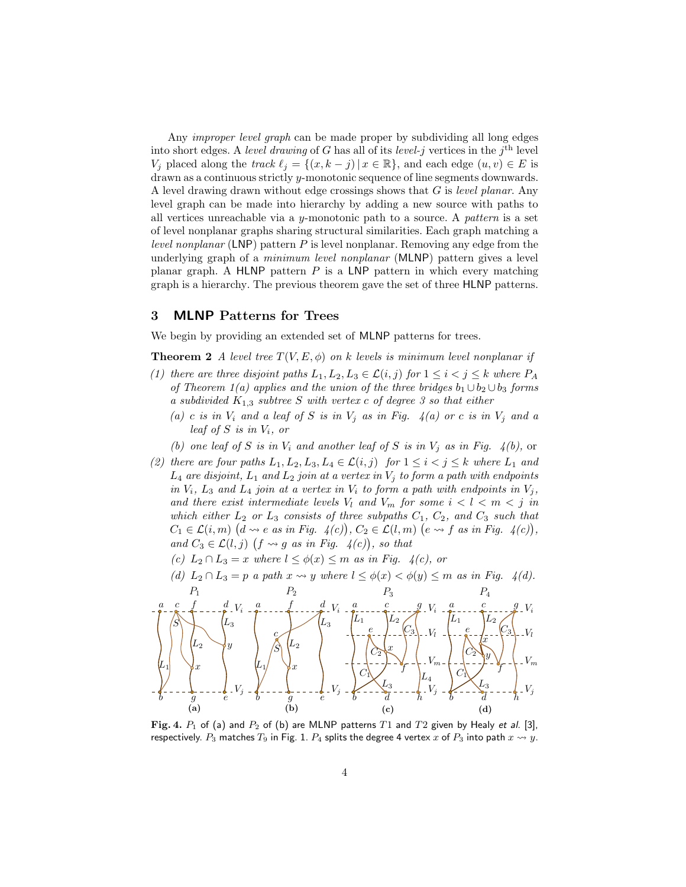Any *improper level graph* can be made proper by subdividing all long edges into short edges. A level drawing of G has all of its level-j vertices in the j<sup>th</sup> level  $V_j$  placed along the track  $\ell_j = \{(x, k - j) | x \in \mathbb{R}\}$ , and each edge  $(u, v) \in E$  is drawn as a continuous strictly y-monotonic sequence of line segments downwards. A level drawing drawn without edge crossings shows that G is level planar. Any level graph can be made into hierarchy by adding a new source with paths to all vertices unreachable via a y-monotonic path to a source. A pattern is a set of level nonplanar graphs sharing structural similarities. Each graph matching a *level nonplanar* (LNP) pattern  $P$  is level nonplanar. Removing any edge from the underlying graph of a *minimum level nonplanar* (MLNP) pattern gives a level planar graph. A HLNP pattern  $P$  is a LNP pattern in which every matching graph is a hierarchy. The previous theorem gave the set of three HLNP patterns.

## 3 MLNP Patterns for Trees

We begin by providing an extended set of **MLNP** patterns for trees.

**Theorem 2** A level tree  $T(V, E, \phi)$  on k levels is minimum level nonplanar if

- (1) there are three disjoint paths  $L_1, L_2, L_3 \in \mathcal{L}(i, j)$  for  $1 \leq i \leq j \leq k$  where  $P_A$ of Theorem 1(a) applies and the union of the three bridges  $b_1 \cup b_2 \cup b_3$  forms a subdivided  $K_{1,3}$  subtree S with vertex c of degree 3 so that either
	- (a) c is in  $V_i$  and a leaf of S is in  $V_i$  as in Fig. 4(a) or c is in  $V_j$  and a leaf of  $S$  is in  $V_i$ , or
	- (b) one leaf of S is in  $V_i$  and another leaf of S is in  $V_j$  as in Fig. 4(b), or
- (2) there are four paths  $L_1, L_2, L_3, L_4 \in \mathcal{L}(i, j)$  for  $1 \leq i < j \leq k$  where  $L_1$  and  $L_4$  are disjoint,  $L_1$  and  $L_2$  join at a vertex in  $V_j$  to form a path with endpoints in  $V_i$ ,  $L_3$  and  $L_4$  join at a vertex in  $V_i$  to form a path with endpoints in  $V_j$ , and there exist intermediate levels  $V_l$  and  $V_m$  for some  $i < l < m < j$  in which either  $L_2$  or  $L_3$  consists of three subpaths  $C_1$ ,  $C_2$ , and  $C_3$  such that  $C_1 \in \mathcal{L}(i,m)$   $(d \leadsto e \text{ as in Fig. } 4(c)), C_2 \in \mathcal{L}(l,m)$   $(e \leadsto f \text{ as in Fig. } 4(c)),$ and  $C_3 \in \mathcal{L}(l, j)$   $(f \leadsto g$  as in Fig.  $4(c)$ , so that
	- (c)  $L_2 \cap L_3 = x$  where  $l \leq \phi(x) \leq m$  as in Fig. 4(c), or
	- (d)  $L_2 \cap L_3 = p$  a path  $x \leadsto y$  where  $l \leq \phi(x) < \phi(y) \leq m$  as in Fig. 4(d).



Fig. 4.  $P_1$  of (a) and  $P_2$  of (b) are MLNP patterns  $T1$  and  $T2$  given by Healy et al. [3], respectively.  $P_3$  matches  $T_9$  in Fig. 1.  $P_4$  splits the degree 4 vertex x of  $P_3$  into path  $x \leadsto y$ .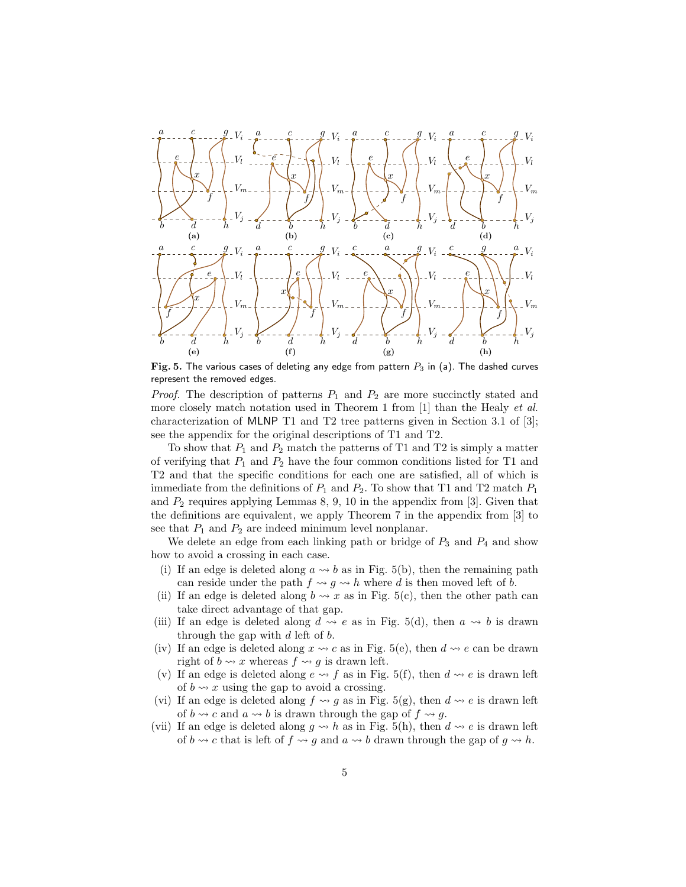

Fig. 5. The various cases of deleting any edge from pattern  $P_3$  in (a). The dashed curves represent the removed edges.

*Proof.* The description of patterns  $P_1$  and  $P_2$  are more succinctly stated and more closely match notation used in Theorem 1 from [1] than the Healy et al. characterization of MLNP T1 and T2 tree patterns given in Section 3.1 of [3]; see the appendix for the original descriptions of T1 and T2.

To show that  $P_1$  and  $P_2$  match the patterns of T1 and T2 is simply a matter of verifying that  $P_1$  and  $P_2$  have the four common conditions listed for T1 and T2 and that the specific conditions for each one are satisfied, all of which is immediate from the definitions of  $P_1$  and  $P_2$ . To show that T1 and T2 match  $P_1$ and  $P_2$  requires applying Lemmas 8, 9, 10 in the appendix from [3]. Given that the definitions are equivalent, we apply Theorem 7 in the appendix from [3] to see that  $P_1$  and  $P_2$  are indeed minimum level nonplanar.

We delete an edge from each linking path or bridge of  $P_3$  and  $P_4$  and show how to avoid a crossing in each case.

- (i) If an edge is deleted along  $a \rightarrow b$  as in Fig. 5(b), then the remaining path can reside under the path  $f \leadsto g \leadsto h$  where d is then moved left of b.
- (ii) If an edge is deleted along  $b \leadsto x$  as in Fig. 5(c), then the other path can take direct advantage of that gap.
- (iii) If an edge is deleted along  $d \rightsquigarrow e$  as in Fig. 5(d), then  $a \rightsquigarrow b$  is drawn through the gap with  $d$  left of  $b$ .
- (iv) If an edge is deleted along  $x \rightarrow c$  as in Fig. 5(e), then  $d \rightarrow e$  can be drawn right of  $b \rightsquigarrow x$  whereas  $f \rightsquigarrow q$  is drawn left.
- (v) If an edge is deleted along  $e \rightarrow f$  as in Fig. 5(f), then  $d \rightarrow e$  is drawn left of  $b \rightsquigarrow x$  using the gap to avoid a crossing.
- (vi) If an edge is deleted along  $f \rightsquigarrow g$  as in Fig. 5(g), then  $d \rightsquigarrow e$  is drawn left of  $b \rightsquigarrow c$  and  $a \rightsquigarrow b$  is drawn through the gap of  $f \rightsquigarrow g$ .
- (vii) If an edge is deleted along  $g \nightharpoonup h$  as in Fig. 5(h), then  $d \nightharpoonup e$  is drawn left of  $b \rightsquigarrow c$  that is left of  $f \rightsquigarrow g$  and  $a \rightsquigarrow b$  drawn through the gap of  $g \rightsquigarrow h$ .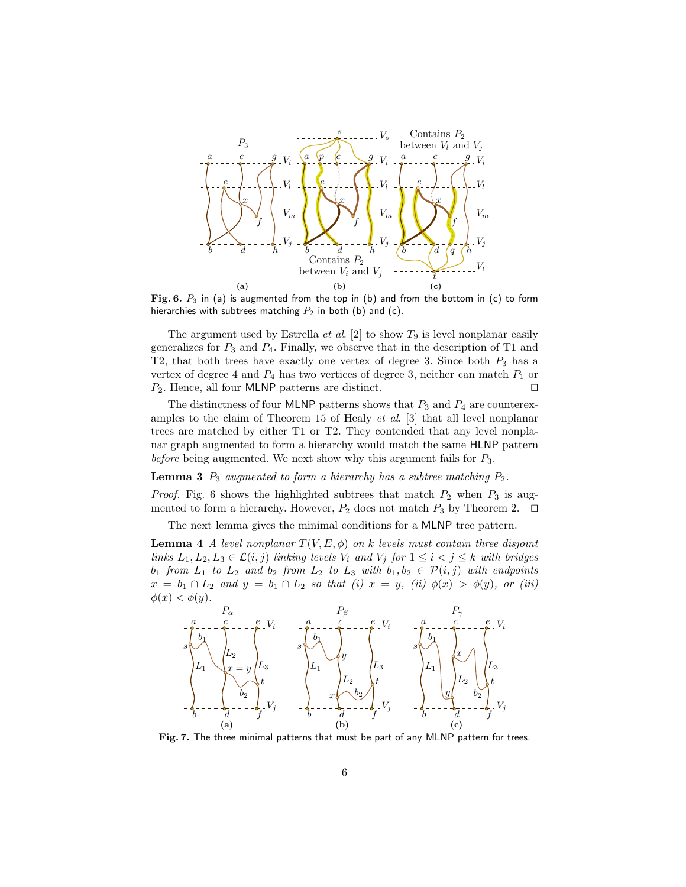

Fig. 6.  $P_3$  in (a) is augmented from the top in (b) and from the bottom in (c) to form hierarchies with subtrees matching  $P_2$  in both (b) and (c).

The argument used by Estrella *et al.* [2] to show  $T_9$  is level nonplanar easily generalizes for  $P_3$  and  $P_4$ . Finally, we observe that in the description of T1 and T2, that both trees have exactly one vertex of degree 3. Since both  $P_3$  has a vertex of degree 4 and  $P_4$  has two vertices of degree 3, neither can match  $P_1$  or  $P_2$ . Hence, all four MLNP patterns are distinct. □

The distinctness of four MLNP patterns shows that  $P_3$  and  $P_4$  are counterexamples to the claim of Theorem 15 of Healy et al. [3] that all level nonplanar trees are matched by either T1 or T2. They contended that any level nonplanar graph augmented to form a hierarchy would match the same HLNP pattern before being augmented. We next show why this argument fails for  $P_3$ .

**Lemma 3**  $P_3$  augmented to form a hierarchy has a subtree matching  $P_2$ .

*Proof.* Fig. 6 shows the highlighted subtrees that match  $P_2$  when  $P_3$  is augmented to form a hierarchy. However,  $P_2$  does not match  $P_3$  by Theorem 2. □

The next lemma gives the minimal conditions for a MLNP tree pattern.

**Lemma 4** A level nonplanar  $T(V, E, \phi)$  on k levels must contain three disjoint links  $L_1, L_2, L_3 \in \mathcal{L}(i, j)$  linking levels  $V_i$  and  $V_j$  for  $1 \leq i < j \leq k$  with bridges  $b_1$  from  $L_1$  to  $L_2$  and  $b_2$  from  $L_2$  to  $L_3$  with  $b_1, b_2 \in \mathcal{P}(i,j)$  with endpoints  $x = b_1 \cap L_2$  and  $y = b_1 \cap L_2$  so that (i)  $x = y$ , (ii)  $\phi(x) > \phi(y)$ , or (iii)  $\phi(x) < \phi(y)$ .



Fig. 7. The three minimal patterns that must be part of any MLNP pattern for trees.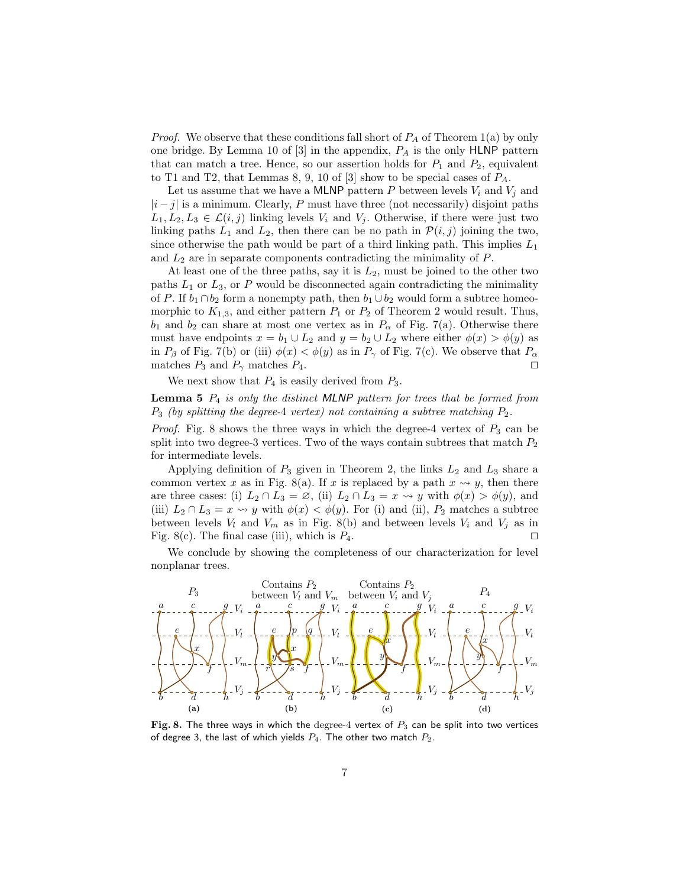*Proof.* We observe that these conditions fall short of  $P_A$  of Theorem 1(a) by only one bridge. By Lemma 10 of  $[3]$  in the appendix,  $P_A$  is the only HLNP pattern that can match a tree. Hence, so our assertion holds for  $P_1$  and  $P_2$ , equivalent to T1 and T2, that Lemmas 8, 9, 10 of [3] show to be special cases of  $P_A$ .

Let us assume that we have a MLNP pattern P between levels  $V_i$  and  $V_j$  and  $|i-j|$  is a minimum. Clearly, P must have three (not necessarily) disjoint paths  $L_1, L_2, L_3 \in \mathcal{L}(i, j)$  linking levels  $V_i$  and  $V_j$ . Otherwise, if there were just two linking paths  $L_1$  and  $L_2$ , then there can be no path in  $\mathcal{P}(i, j)$  joining the two, since otherwise the path would be part of a third linking path. This implies  $L_1$ and  $L_2$  are in separate components contradicting the minimality of  $P$ .

At least one of the three paths, say it is  $L_2$ , must be joined to the other two paths  $L_1$  or  $L_3$ , or P would be disconnected again contradicting the minimality of P. If  $b_1 \cap b_2$  form a nonempty path, then  $b_1 \cup b_2$  would form a subtree homeomorphic to  $K_{1,3}$ , and either pattern  $P_1$  or  $P_2$  of Theorem 2 would result. Thus,  $b_1$  and  $b_2$  can share at most one vertex as in  $P_\alpha$  of Fig. 7(a). Otherwise there must have endpoints  $x = b_1 \cup L_2$  and  $y = b_2 \cup L_2$  where either  $\phi(x) > \phi(y)$  as in  $P_\beta$  of Fig. 7(b) or (iii)  $\phi(x) < \phi(y)$  as in  $P_\gamma$  of Fig. 7(c). We observe that  $P_\alpha$ matches  $P_3$  and  $P_\gamma$  matches  $P_4$ . □

We next show that  $P_4$  is easily derived from  $P_3$ .

**Lemma 5**  $P_4$  is only the distinct MLNP pattern for trees that be formed from  $P_3$  (by splitting the degree-4 vertex) not containing a subtree matching  $P_2$ .

*Proof.* Fig. 8 shows the three ways in which the degree-4 vertex of  $P_3$  can be split into two degree-3 vertices. Two of the ways contain subtrees that match  $P_2$ for intermediate levels.

Applying definition of  $P_3$  given in Theorem 2, the links  $L_2$  and  $L_3$  share a common vertex x as in Fig. 8(a). If x is replaced by a path  $x \rightsquigarrow y$ , then there are three cases: (i)  $L_2 \cap L_3 = \emptyset$ , (ii)  $L_2 \cap L_3 = x \leadsto y$  with  $\phi(x) > \phi(y)$ , and (iii)  $L_2 \cap L_3 = x \leadsto y$  with  $\phi(x) < \phi(y)$ . For (i) and (ii),  $P_2$  matches a subtree between levels  $V_l$  and  $V_m$  as in Fig. 8(b) and between levels  $V_i$  and  $V_j$  as in Fig. 8(c). The final case (iii), which is  $P_4$ . □

We conclude by showing the completeness of our characterization for level nonplanar trees.



Fig. 8. The three ways in which the degree-4 vertex of  $P_3$  can be split into two vertices of degree 3, the last of which yields  $P_4$ . The other two match  $P_2$ .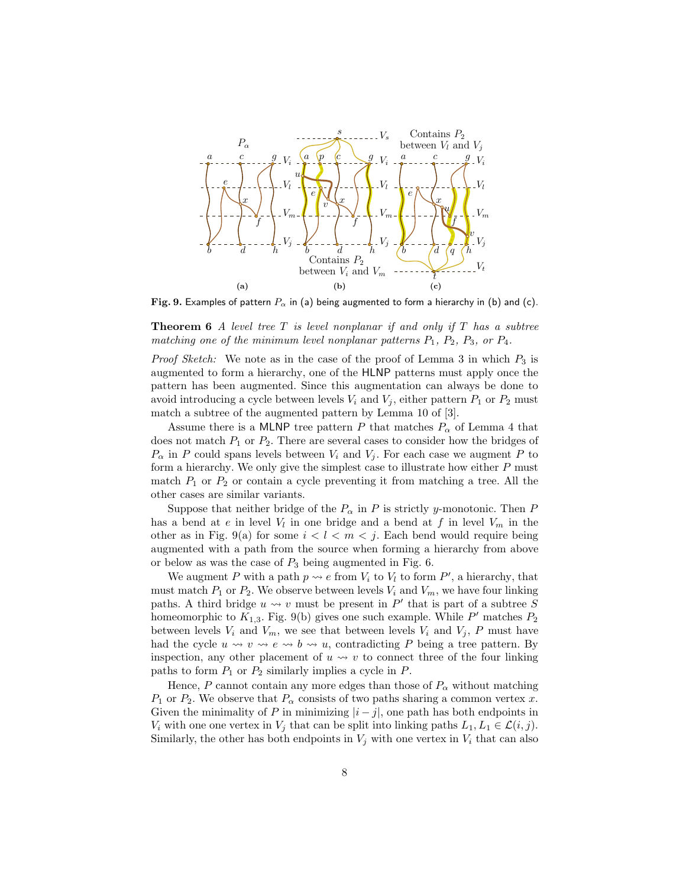

Fig. 9. Examples of pattern  $P_{\alpha}$  in (a) being augmented to form a hierarchy in (b) and (c).

**Theorem 6** A level tree  $T$  is level nonplanar if and only if  $T$  has a subtree matching one of the minimum level nonplanar patterns  $P_1$ ,  $P_2$ ,  $P_3$ , or  $P_4$ .

*Proof Sketch:* We note as in the case of the proof of Lemma 3 in which  $P_3$  is augmented to form a hierarchy, one of the HLNP patterns must apply once the pattern has been augmented. Since this augmentation can always be done to avoid introducing a cycle between levels  $V_i$  and  $V_j$ , either pattern  $P_1$  or  $P_2$  must match a subtree of the augmented pattern by Lemma 10 of [3].

Assume there is a MLNP tree pattern P that matches  $P_{\alpha}$  of Lemma 4 that does not match  $P_1$  or  $P_2$ . There are several cases to consider how the bridges of  $P_{\alpha}$  in P could spans levels between  $V_i$  and  $V_j$ . For each case we augment P to form a hierarchy. We only give the simplest case to illustrate how either  $P$  must match  $P_1$  or  $P_2$  or contain a cycle preventing it from matching a tree. All the other cases are similar variants.

Suppose that neither bridge of the  $P_{\alpha}$  in P is strictly y-monotonic. Then P has a bend at  $e$  in level  $V_l$  in one bridge and a bend at  $f$  in level  $V_m$  in the other as in Fig. 9(a) for some  $i < l < m < j$ . Each bend would require being augmented with a path from the source when forming a hierarchy from above or below as was the case of  $P_3$  being augmented in Fig. 6.

We augment P with a path  $p \leadsto e$  from  $V_i$  to  $V_l$  to form  $P'$ , a hierarchy, that must match  $P_1$  or  $P_2$ . We observe between levels  $V_i$  and  $V_m$ , we have four linking paths. A third bridge  $u \leadsto v$  must be present in P' that is part of a subtree  $\breve{S}$ homeomorphic to  $K_{1,3}$ . Fig. 9(b) gives one such example. While P' matches  $P_2$ between levels  $V_i$  and  $V_m$ , we see that between levels  $V_i$  and  $V_j$ , P must have had the cycle  $u \leadsto v \leadsto e \leadsto b \leadsto u$ , contradicting P being a tree pattern. By inspection, any other placement of  $u \leftrightarrow v$  to connect three of the four linking paths to form  $P_1$  or  $P_2$  similarly implies a cycle in  $P$ .

Hence, P cannot contain any more edges than those of  $P_\alpha$  without matching  $P_1$  or  $P_2$ . We observe that  $P_\alpha$  consists of two paths sharing a common vertex x. Given the minimality of P in minimizing  $|i-j|$ , one path has both endpoints in  $V_i$  with one one vertex in  $V_j$  that can be split into linking paths  $L_1, L_1 \in \mathcal{L}(i, j)$ . Similarly, the other has both endpoints in  $V_j$  with one vertex in  $V_i$  that can also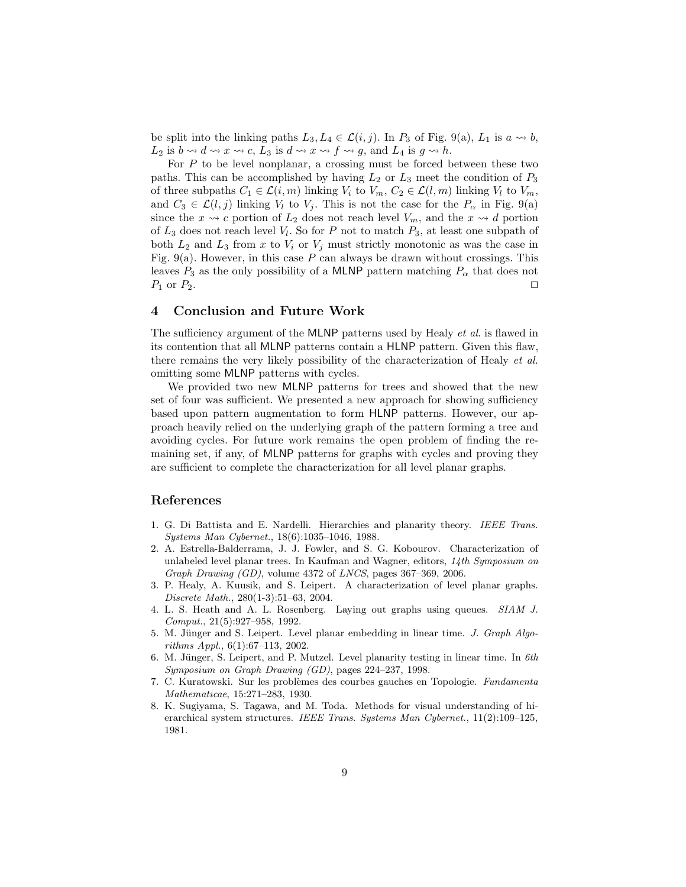be split into the linking paths  $L_3, L_4 \in \mathcal{L}(i, j)$ . In  $P_3$  of Fig. 9(a),  $L_1$  is  $a \rightsquigarrow b$ ,  $L_2$  is  $b \leadsto d \leadsto x \leadsto c$ ,  $L_3$  is  $d \leadsto x \leadsto f \leadsto g$ , and  $L_4$  is  $g \leadsto h$ .

For  $P$  to be level nonplanar, a crossing must be forced between these two paths. This can be accomplished by having  $L_2$  or  $L_3$  meet the condition of  $P_3$ of three subpaths  $C_1 \in \mathcal{L}(i,m)$  linking  $V_i$  to  $V_m$ ,  $C_2 \in \mathcal{L}(l,m)$  linking  $V_l$  to  $V_m$ , and  $C_3 \in \mathcal{L}(l, j)$  linking  $V_l$  to  $V_j$ . This is not the case for the  $P_\alpha$  in Fig. 9(a) since the  $x \rightsquigarrow c$  portion of  $L_2$  does not reach level  $V_m$ , and the  $x \rightsquigarrow d$  portion of  $L_3$  does not reach level  $V_l$ . So for P not to match  $P_3$ , at least one subpath of both  $L_2$  and  $L_3$  from x to  $V_i$  or  $V_j$  must strictly monotonic as was the case in Fig. 9(a). However, in this case  $P$  can always be drawn without crossings. This leaves  $P_3$  as the only possibility of a MLNP pattern matching  $P_\alpha$  that does not  $P_1$  or  $P_2$ .  $□$ 

## 4 Conclusion and Future Work

The sufficiency argument of the MLNP patterns used by Healy *et al.* is flawed in its contention that all MLNP patterns contain a HLNP pattern. Given this flaw, there remains the very likely possibility of the characterization of Healy et al. omitting some MLNP patterns with cycles.

We provided two new MLNP patterns for trees and showed that the new set of four was sufficient. We presented a new approach for showing sufficiency based upon pattern augmentation to form HLNP patterns. However, our approach heavily relied on the underlying graph of the pattern forming a tree and avoiding cycles. For future work remains the open problem of finding the remaining set, if any, of MLNP patterns for graphs with cycles and proving they are sufficient to complete the characterization for all level planar graphs.

## References

- 1. G. Di Battista and E. Nardelli. Hierarchies and planarity theory. IEEE Trans. Systems Man Cybernet., 18(6):1035–1046, 1988.
- 2. A. Estrella-Balderrama, J. J. Fowler, and S. G. Kobourov. Characterization of unlabeled level planar trees. In Kaufman and Wagner, editors,  $14$ th Symposium on Graph Drawing (GD), volume 4372 of LNCS, pages 367–369, 2006.
- 3. P. Healy, A. Kuusik, and S. Leipert. A characterization of level planar graphs. Discrete Math., 280(1-3):51–63, 2004.
- 4. L. S. Heath and A. L. Rosenberg. Laying out graphs using queues. SIAM J. Comput., 21(5):927–958, 1992.
- 5. M. Jünger and S. Leipert. Level planar embedding in linear time. J. Graph Algorithms Appl., 6(1):67–113, 2002.
- 6. M. Jünger, S. Leipert, and P. Mutzel. Level planarity testing in linear time. In  $6th$ Symposium on Graph Drawing (GD), pages 224–237, 1998.
- 7. C. Kuratowski. Sur les problèmes des courbes gauches en Topologie. Fundamenta Mathematicae, 15:271–283, 1930.
- 8. K. Sugiyama, S. Tagawa, and M. Toda. Methods for visual understanding of hierarchical system structures. IEEE Trans. Systems Man Cybernet.,  $11(2):109-125$ , 1981.